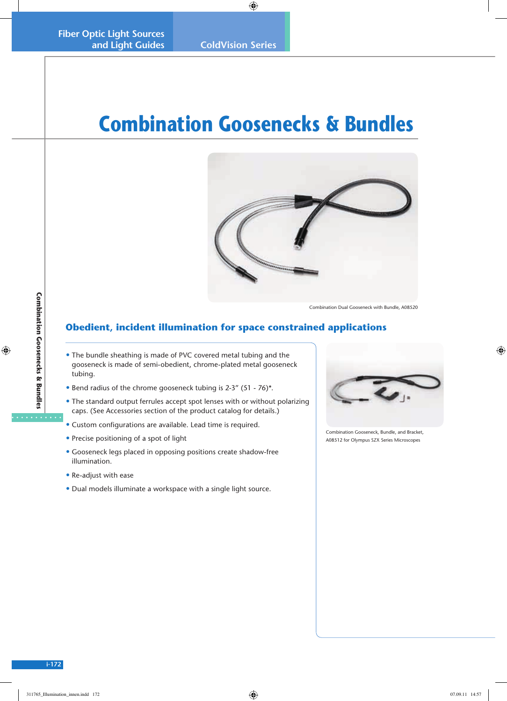## **Combination Goosenecks & Bundles**



Combination Dual Gooseneck with Bundle, A08520

## **Obedient, incident illumination for space constrained applications**

- The bundle sheathing is made of PVC covered metal tubing and the gooseneck is made of semi-obedient, chrome-plated metal gooseneck tubing.
- Bend radius of the chrome gooseneck tubing is 2-3" (51 76)\*.
- The standard output ferrules accept spot lenses with or without polarizing caps. (See Accessories section of the product catalog for details.)
- Custom configurations are available. Lead time is required.
- Precise positioning of a spot of light
- Gooseneck legs placed in opposing positions create shadow-free illumination.
- Re-adjust with ease
- Dual models illuminate a workspace with a single light source.



Combination Gooseneck, Bundle, and Bracket, A08512 for Olympus SZX Series Microscopes